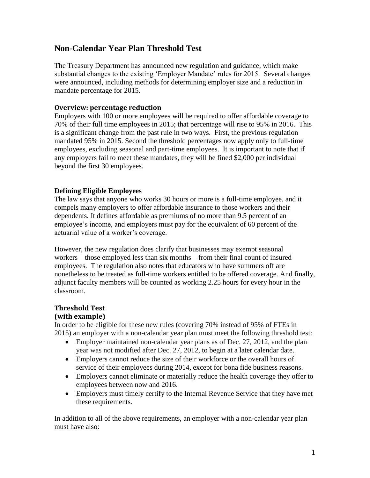# **Non-Calendar Year Plan Threshold Test**

The Treasury Department has announced new regulation and guidance, which make substantial changes to the existing 'Employer Mandate' rules for 2015. Several changes were announced, including methods for determining employer size and a reduction in mandate percentage for 2015.

## **Overview: percentage reduction**

Employers with 100 or more employees will be required to offer affordable coverage to 70% of their full time employees in 2015; that percentage will rise to 95% in 2016. This is a significant change from the past rule in two ways. First, the previous regulation mandated 95% in 2015. Second the threshold percentages now apply only to full-time employees, excluding seasonal and part-time employees. It is important to note that if any employers fail to meet these mandates, they will be fined \$2,000 per individual beyond the first 30 employees.

### **Defining Eligible Employees**

The law says that anyone who works 30 hours or more is a full-time employee, and it compels many employers to offer affordable insurance to those workers and their dependents. It defines affordable as premiums of no more than 9.5 percent of an employee's income, and employers must pay for the equivalent of 60 percent of the actuarial value of a worker's coverage.

However, the new regulation does clarify that businesses may exempt seasonal workers—those employed less than six months—from their final count of insured employees. The regulation also notes that educators who have summers off are nonetheless to be treated as full-time workers entitled to be offered coverage. And finally, adjunct faculty members will be counted as working 2.25 hours for every hour in the classroom.

### **Threshold Test (with example)**

In order to be eligible for these new rules (covering 70% instead of 95% of FTEs in 2015) an employer with a non-calendar year plan must meet the following threshold test:

- Employer maintained non-calendar year plans as of Dec. 27, 2012, and the plan year was not modified after Dec. 27, 2012, to begin at a later calendar date.
- Employers cannot reduce the size of their workforce or the overall hours of service of their employees during 2014, except for bona fide business reasons.
- Employers cannot eliminate or materially reduce the health coverage they offer to employees between now and 2016.
- Employers must timely certify to the Internal Revenue Service that they have met these requirements.

In addition to all of the above requirements, an employer with a non-calendar year plan must have also: